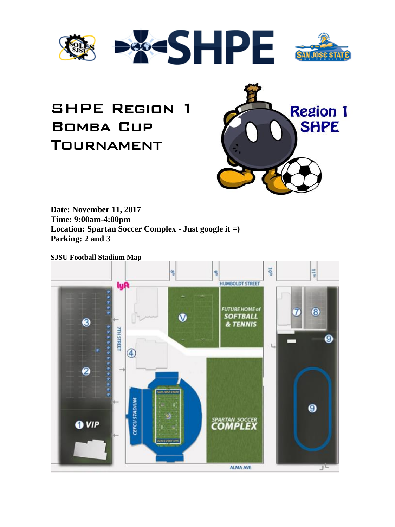



# SHPE Region 1 Bomba Cup Tournament



**Date: November 11, 2017 Time: 9:00am-4:00pm Location: Spartan Soccer Complex - Just google it =) Parking: 2 and 3**

**SJSU Football Stadium Map**

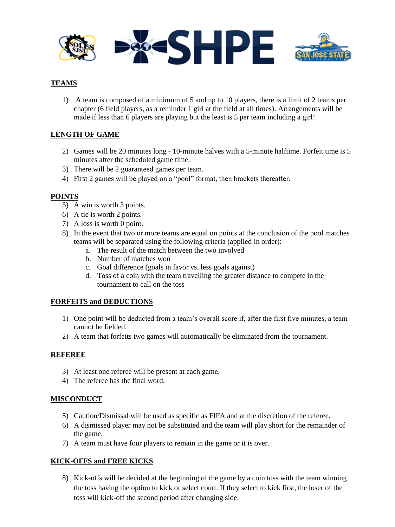

# **TEAMS**

1) A team is composed of a minimum of 5 and up to 10 players, there is a limit of 2 teams per chapter (6 field players, as a reminder 1 girl at the field at all times). Arrangements will be made if less than 6 players are playing but the least is 5 per team including a girl!

# **LENGTH OF GAME**

- 2) Games will be 20 minutes long 10-minute halves with a 5-minute halftime. Forfeit time is 5 minutes after the scheduled game time.
- 3) There will be 2 guaranteed games per team.
- 4) First 2 games will be played on a "pool" format, then brackets thereafter.

## **POINTS**

- 5) A win is worth 3 points.
- 6) A tie is worth 2 points.
- 7) A loss is worth 0 point.
- 8) In the event that two or more teams are equal on points at the conclusion of the pool matches teams will be separated using the following criteria (applied in order):
	- a. The result of the match between the two involved
	- b. Number of matches won
	- c. Goal difference (goals in favor vs. less goals against)
	- d. Toss of a coin with the team travelling the greater distance to compete in the tournament to call on the toss

#### **FORFEITS and DEDUCTIONS**

- 1) One point will be deducted from a team's overall score if, after the first five minutes, a team cannot be fielded.
- 2) A team that forfeits two games will automatically be eliminated from the tournament.

## **REFEREE**

- 3) At least one referee will be present at each game.
- 4) The referee has the final word.

## **MISCONDUCT**

- 5) Caution/Dismissal will be used as specific as FIFA and at the discretion of the referee.
- 6) A dismissed player may not be substituted and the team will play short for the remainder of the game.
- 7) A team must have four players to remain in the game or it is over.

## **KICK-OFFS and FREE KICKS**

8) Kick-offs will be decided at the beginning of the game by a coin toss with the team winning the toss having the option to kick or select court. If they select to kick first, the loser of the toss will kick-off the second period after changing side.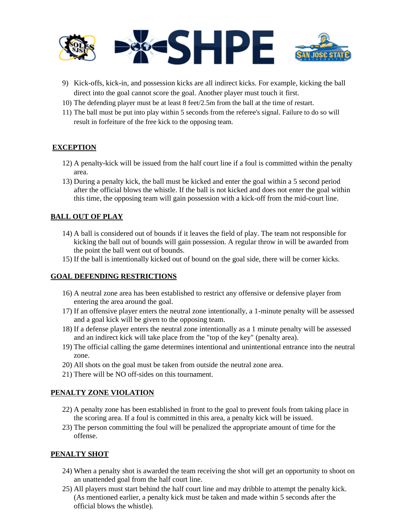

- 9) Kick-offs, kick-in, and possession kicks are all indirect kicks. For example, kicking the ball direct into the goal cannot score the goal. Another player must touch it first.
- 10) The defending player must be at least 8 feet/2.5m from the ball at the time of restart.
- 11) The ball must be put into play within 5 seconds from the referee's signal. Failure to do so will result in forfeiture of the free kick to the opposing team.

## **EXCEPTION**

- 12) A penalty-kick will be issued from the half court line if a foul is committed within the penalty area.
- 13) During a penalty kick, the ball must be kicked and enter the goal within a 5 second period after the official blows the whistle. If the ball is not kicked and does not enter the goal within this time, the opposing team will gain possession with a kick-off from the mid-court line.

## **BALL OUT OF PLAY**

- 14) A ball is considered out of bounds if it leaves the field of play. The team not responsible for kicking the ball out of bounds will gain possession. A regular throw in will be awarded from the point the ball went out of bounds.
- 15) If the ball is intentionally kicked out of bound on the goal side, there will be corner kicks.

# **GOAL DEFENDING RESTRICTIONS**

- 16) A neutral zone area has been established to restrict any offensive or defensive player from entering the area around the goal.
- 17) If an offensive player enters the neutral zone intentionally, a 1-minute penalty will be assessed and a goal kick will be given to the opposing team.
- 18) If a defense player enters the neutral zone intentionally as a 1 minute penalty will be assessed and an indirect kick will take place from the "top of the key" (penalty area).
- 19) The official calling the game determines intentional and unintentional entrance into the neutral zone.
- 20) All shots on the goal must be taken from outside the neutral zone area.
- 21) There will be NO off-sides on this tournament.

## **PENALTY ZONE VIOLATION**

- 22) A penalty zone has been established in front to the goal to prevent fouls from taking place in the scoring area. If a foul is committed in this area, a penalty kick will be issued.
- 23) The person committing the foul will be penalized the appropriate amount of time for the offense.

## **PENALTY SHOT**

- 24) When a penalty shot is awarded the team receiving the shot will get an opportunity to shoot on an unattended goal from the half court line.
- 25) All players must start behind the half court line and may dribble to attempt the penalty kick. (As mentioned earlier, a penalty kick must be taken and made within 5 seconds after the official blows the whistle).